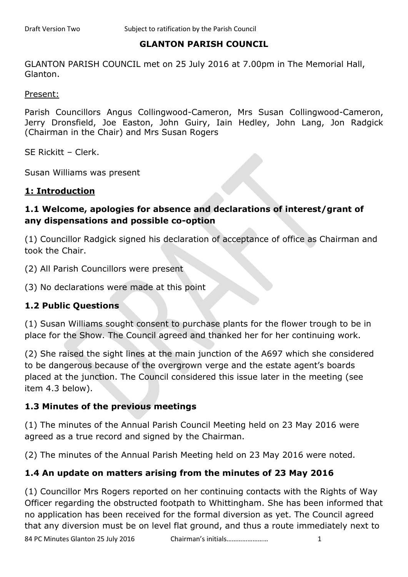### **GLANTON PARISH COUNCIL**

GLANTON PARISH COUNCIL met on 25 July 2016 at 7.00pm in The Memorial Hall, Glanton.

Present:

Parish Councillors Angus Collingwood-Cameron, Mrs Susan Collingwood-Cameron, Jerry Dronsfield, Joe Easton, John Guiry, Iain Hedley, John Lang, Jon Radgick (Chairman in the Chair) and Mrs Susan Rogers

SE Rickitt – Clerk.

Susan Williams was present

#### **1: Introduction**

### **1.1 Welcome, apologies for absence and declarations of interest/grant of any dispensations and possible co-option**

(1) Councillor Radgick signed his declaration of acceptance of office as Chairman and took the Chair.

(2) All Parish Councillors were present

(3) No declarations were made at this point

### **1.2 Public Questions**

(1) Susan Williams sought consent to purchase plants for the flower trough to be in place for the Show. The Council agreed and thanked her for her continuing work.

(2) She raised the sight lines at the main junction of the A697 which she considered to be dangerous because of the overgrown verge and the estate agent's boards placed at the junction. The Council considered this issue later in the meeting (see item 4.3 below).

#### **1.3 Minutes of the previous meetings**

(1) The minutes of the Annual Parish Council Meeting held on 23 May 2016 were agreed as a true record and signed by the Chairman.

(2) The minutes of the Annual Parish Meeting held on 23 May 2016 were noted.

### **1.4 An update on matters arising from the minutes of 23 May 2016**

(1) Councillor Mrs Rogers reported on her continuing contacts with the Rights of Way Officer regarding the obstructed footpath to Whittingham. She has been informed that no application has been received for the formal diversion as yet. The Council agreed that any diversion must be on level flat ground, and thus a route immediately next to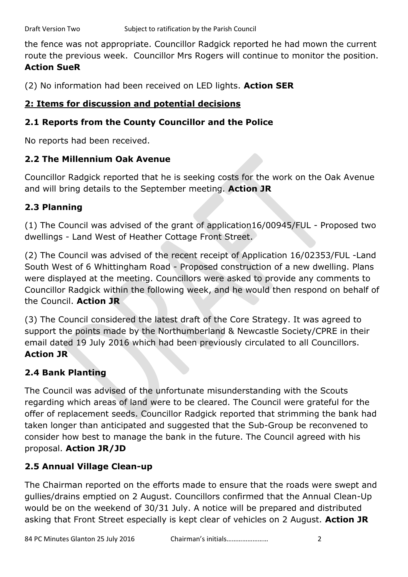the fence was not appropriate. Councillor Radgick reported he had mown the current route the previous week. Councillor Mrs Rogers will continue to monitor the position. **Action SueR**

(2) No information had been received on LED lights. **Action SER**

### **2: Items for discussion and potential decisions**

### **2.1 Reports from the County Councillor and the Police**

No reports had been received.

## **2.2 The Millennium Oak Avenue**

Councillor Radgick reported that he is seeking costs for the work on the Oak Avenue and will bring details to the September meeting. **Action JR**

## **2.3 Planning**

(1) The Council was advised of the grant of application16/00945/FUL - Proposed two dwellings - Land West of Heather Cottage Front Street.

(2) The Council was advised of the recent receipt of Application 16/02353/FUL -Land South West of 6 Whittingham Road - Proposed construction of a new dwelling. Plans were displayed at the meeting. Councillors were asked to provide any comments to Councillor Radgick within the following week, and he would then respond on behalf of the Council. **Action JR**

(3) The Council considered the latest draft of the Core Strategy. It was agreed to support the points made by the Northumberland & Newcastle Society/CPRE in their email dated 19 July 2016 which had been previously circulated to all Councillors. **Action JR**

## **2.4 Bank Planting**

The Council was advised of the unfortunate misunderstanding with the Scouts regarding which areas of land were to be cleared. The Council were grateful for the offer of replacement seeds. Councillor Radgick reported that strimming the bank had taken longer than anticipated and suggested that the Sub-Group be reconvened to consider how best to manage the bank in the future. The Council agreed with his proposal. **Action JR/JD**

# **2.5 Annual Village Clean-up**

The Chairman reported on the efforts made to ensure that the roads were swept and gullies/drains emptied on 2 August. Councillors confirmed that the Annual Clean-Up would be on the weekend of 30/31 July. A notice will be prepared and distributed asking that Front Street especially is kept clear of vehicles on 2 August. **Action JR**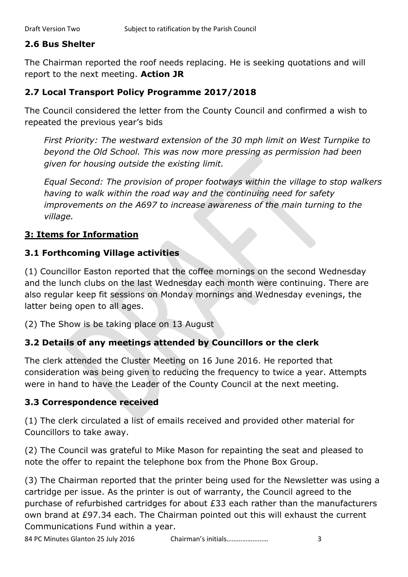#### **2.6 Bus Shelter**

The Chairman reported the roof needs replacing. He is seeking quotations and will report to the next meeting. **Action JR**

#### **2.7 Local Transport Policy Programme 2017/2018**

The Council considered the letter from the County Council and confirmed a wish to repeated the previous year's bids

*First Priority: The westward extension of the 30 mph limit on West Turnpike to beyond the Old School. This was now more pressing as permission had been given for housing outside the existing limit.*

*Equal Second: The provision of proper footways within the village to stop walkers having to walk within the road way and the continuing need for safety improvements on the A697 to increase awareness of the main turning to the village.*

### **3: Items for Information**

#### **3.1 Forthcoming Village activities**

(1) Councillor Easton reported that the coffee mornings on the second Wednesday and the lunch clubs on the last Wednesday each month were continuing. There are also regular keep fit sessions on Monday mornings and Wednesday evenings, the latter being open to all ages.

(2) The Show is be taking place on 13 August

### **3.2 Details of any meetings attended by Councillors or the clerk**

The clerk attended the Cluster Meeting on 16 June 2016. He reported that consideration was being given to reducing the frequency to twice a year. Attempts were in hand to have the Leader of the County Council at the next meeting.

#### **3.3 Correspondence received**

(1) The clerk circulated a list of emails received and provided other material for Councillors to take away.

(2) The Council was grateful to Mike Mason for repainting the seat and pleased to note the offer to repaint the telephone box from the Phone Box Group.

(3) The Chairman reported that the printer being used for the Newsletter was using a cartridge per issue. As the printer is out of warranty, the Council agreed to the purchase of refurbished cartridges for about £33 each rather than the manufacturers own brand at £97.34 each. The Chairman pointed out this will exhaust the current Communications Fund within a year.

84 PC Minutes Glanton 25 July 2016 Chairman's initials…………………… 3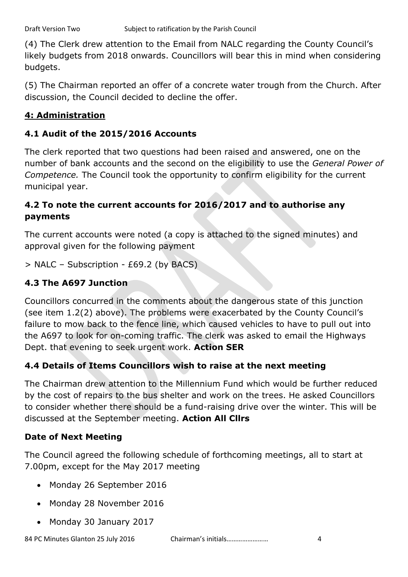(4) The Clerk drew attention to the Email from NALC regarding the County Council's likely budgets from 2018 onwards. Councillors will bear this in mind when considering budgets.

(5) The Chairman reported an offer of a concrete water trough from the Church. After discussion, the Council decided to decline the offer.

## **4: Administration**

## **4.1 Audit of the 2015/2016 Accounts**

The clerk reported that two questions had been raised and answered, one on the number of bank accounts and the second on the eligibility to use the *General Power of Competence.* The Council took the opportunity to confirm eligibility for the current municipal year.

## **4.2 To note the current accounts for 2016/2017 and to authorise any payments**

The current accounts were noted (a copy is attached to the signed minutes) and approval given for the following payment

> NALC – Subscription - £69.2 (by BACS)

## **4.3 The A697 Junction**

Councillors concurred in the comments about the dangerous state of this junction (see item 1.2(2) above). The problems were exacerbated by the County Council's failure to mow back to the fence line, which caused vehicles to have to pull out into the A697 to look for on-coming traffic. The clerk was asked to email the Highways Dept. that evening to seek urgent work. **Action SER**

# **4.4 Details of Items Councillors wish to raise at the next meeting**

The Chairman drew attention to the Millennium Fund which would be further reduced by the cost of repairs to the bus shelter and work on the trees. He asked Councillors to consider whether there should be a fund-raising drive over the winter. This will be discussed at the September meeting. **Action All Cllrs**

## **Date of Next Meeting**

The Council agreed the following schedule of forthcoming meetings, all to start at 7.00pm, except for the May 2017 meeting

- Monday 26 September 2016
- Monday 28 November 2016
- Monday 30 January 2017